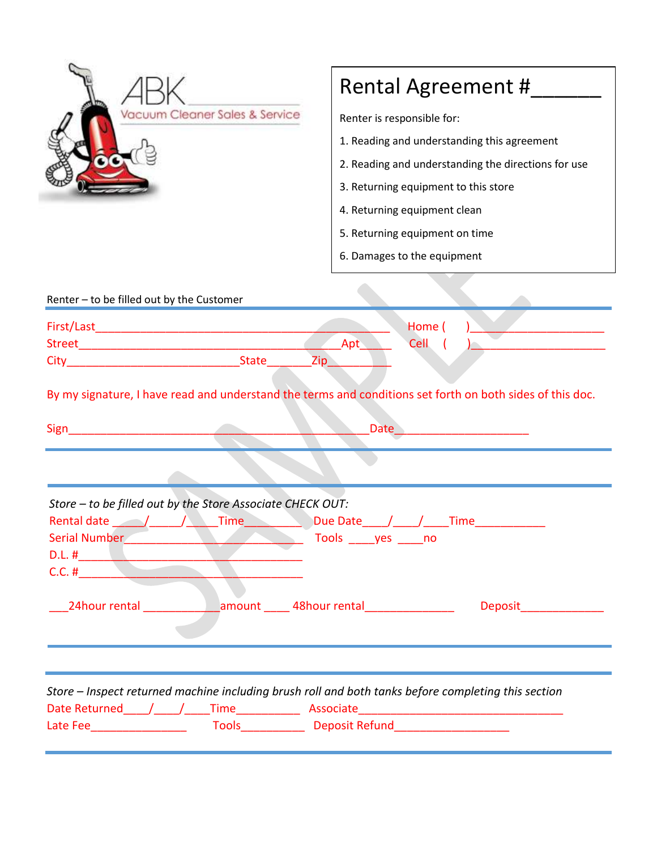| Vacuum Cleaner Sales & Service                                                                                                                                     | Rental Agreement #<br>Renter is responsible for:    |
|--------------------------------------------------------------------------------------------------------------------------------------------------------------------|-----------------------------------------------------|
|                                                                                                                                                                    |                                                     |
|                                                                                                                                                                    | 1. Reading and understanding this agreement         |
|                                                                                                                                                                    | 2. Reading and understanding the directions for use |
|                                                                                                                                                                    | 3. Returning equipment to this store                |
|                                                                                                                                                                    | 4. Returning equipment clean                        |
|                                                                                                                                                                    | 5. Returning equipment on time                      |
|                                                                                                                                                                    | 6. Damages to the equipment                         |
|                                                                                                                                                                    |                                                     |
| Renter - to be filled out by the Customer                                                                                                                          |                                                     |
|                                                                                                                                                                    | Home (                                              |
|                                                                                                                                                                    | Apt<br>Cell                                         |
| Zip                                                                                                                                                                |                                                     |
| By my signature, I have read and understand the terms and conditions set forth on both sides of this doc.                                                          |                                                     |
| Sign                                                                                                                                                               | Date                                                |
|                                                                                                                                                                    |                                                     |
|                                                                                                                                                                    |                                                     |
| Store - to be filled out by the Store Associate CHECK OUT:<br>Due Date / / Time<br>Serial Number<br>Tools _____yes _____no<br>D.L. $\#$ and $\#$ and $\#$ and $\#$ |                                                     |
|                                                                                                                                                                    | Deposit_________________                            |
|                                                                                                                                                                    |                                                     |
|                                                                                                                                                                    |                                                     |
| Store - Inspect returned machine including brush roll and both tanks before completing this section                                                                |                                                     |
|                                                                                                                                                                    |                                                     |
|                                                                                                                                                                    |                                                     |